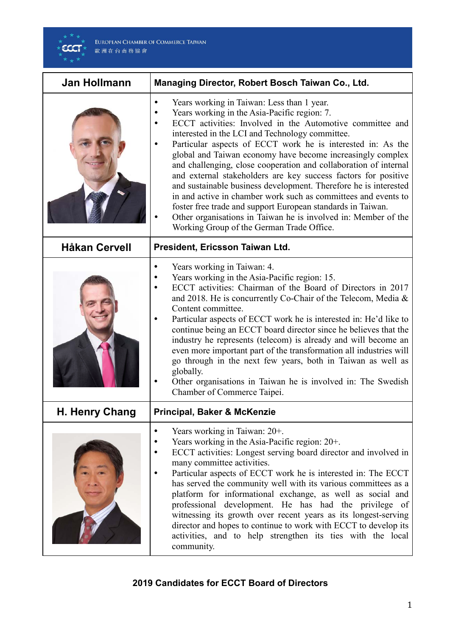

| Jan Hollmann         | <b>Managing Director, Robert Bosch Taiwan Co., Ltd.</b>                                                                                                                                                                                                                                                                                                                                                                                                                                                                                                                                                                                                                                                                                                                                                             |
|----------------------|---------------------------------------------------------------------------------------------------------------------------------------------------------------------------------------------------------------------------------------------------------------------------------------------------------------------------------------------------------------------------------------------------------------------------------------------------------------------------------------------------------------------------------------------------------------------------------------------------------------------------------------------------------------------------------------------------------------------------------------------------------------------------------------------------------------------|
|                      | Years working in Taiwan: Less than 1 year.<br>٠<br>Years working in the Asia-Pacific region: 7.<br>ECCT activities: Involved in the Automotive committee and<br>$\bullet$<br>interested in the LCI and Technology committee.<br>Particular aspects of ECCT work he is interested in: As the<br>global and Taiwan economy have become increasingly complex<br>and challenging, close cooperation and collaboration of internal<br>and external stakeholders are key success factors for positive<br>and sustainable business development. Therefore he is interested<br>in and active in chamber work such as committees and events to<br>foster free trade and support European standards in Taiwan.<br>Other organisations in Taiwan he is involved in: Member of the<br>Working Group of the German Trade Office. |
| <b>Håkan Cervell</b> | President, Ericsson Taiwan Ltd.                                                                                                                                                                                                                                                                                                                                                                                                                                                                                                                                                                                                                                                                                                                                                                                     |
|                      | Years working in Taiwan: 4.<br>Years working in the Asia-Pacific region: 15.<br>ECCT activities: Chairman of the Board of Directors in 2017<br>$\bullet$<br>and 2018. He is concurrently Co-Chair of the Telecom, Media &<br>Content committee.<br>Particular aspects of ECCT work he is interested in: He'd like to<br>$\bullet$<br>continue being an ECCT board director since he believes that the<br>industry he represents (telecom) is already and will become an<br>even more important part of the transformation all industries will<br>go through in the next few years, both in Taiwan as well as<br>globally.<br>Other organisations in Taiwan he is involved in: The Swedish<br>Chamber of Commerce Taipei.                                                                                            |
| H. Henry Chang       | <b>Principal. Baker &amp; McKenzie</b>                                                                                                                                                                                                                                                                                                                                                                                                                                                                                                                                                                                                                                                                                                                                                                              |
|                      | Years working in Taiwan: 20+.<br>Years working in the Asia-Pacific region: 20+.<br>ECCT activities: Longest serving board director and involved in<br>$\bullet$<br>many committee activities.<br>Particular aspects of ECCT work he is interested in: The ECCT<br>has served the community well with its various committees as a<br>platform for informational exchange, as well as social and<br>professional development. He has had the privilege of<br>witnessing its growth over recent years as its longest-serving<br>director and hopes to continue to work with ECCT to develop its<br>activities, and to help strengthen its ties with the local<br>community.                                                                                                                                            |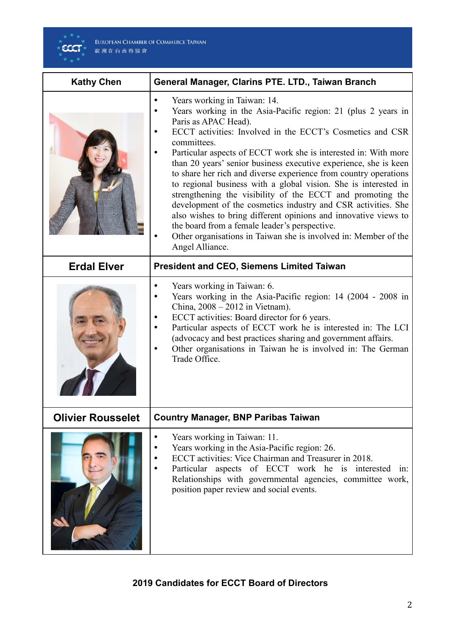

| <b>Kathy Chen</b>        | General Manager, Clarins PTE. LTD., Taiwan Branch                                                                                                                                                                                                                                                                                                                                                                                                                                                                                                                                                                                                                                                                                                                                                                        |
|--------------------------|--------------------------------------------------------------------------------------------------------------------------------------------------------------------------------------------------------------------------------------------------------------------------------------------------------------------------------------------------------------------------------------------------------------------------------------------------------------------------------------------------------------------------------------------------------------------------------------------------------------------------------------------------------------------------------------------------------------------------------------------------------------------------------------------------------------------------|
|                          | Years working in Taiwan: 14.<br>Years working in the Asia-Pacific region: 21 (plus 2 years in<br>Paris as APAC Head).<br>ECCT activities: Involved in the ECCT's Cosmetics and CSR<br>committees.<br>Particular aspects of ECCT work she is interested in: With more<br>than 20 years' senior business executive experience, she is keen<br>to share her rich and diverse experience from country operations<br>to regional business with a global vision. She is interested in<br>strengthening the visibility of the ECCT and promoting the<br>development of the cosmetics industry and CSR activities. She<br>also wishes to bring different opinions and innovative views to<br>the board from a female leader's perspective.<br>Other organisations in Taiwan she is involved in: Member of the<br>Angel Alliance. |
| <b>Erdal Elver</b>       | <b>President and CEO, Siemens Limited Taiwan</b>                                                                                                                                                                                                                                                                                                                                                                                                                                                                                                                                                                                                                                                                                                                                                                         |
|                          | Years working in Taiwan: 6.<br>$\bullet$<br>Years working in the Asia-Pacific region: 14 (2004 - 2008 in<br>China, $2008 - 2012$ in Vietnam).<br>ECCT activities: Board director for 6 years.<br>Particular aspects of ECCT work he is interested in: The LCI<br>(advocacy and best practices sharing and government affairs.<br>Other organisations in Taiwan he is involved in: The German<br>Trade Office.                                                                                                                                                                                                                                                                                                                                                                                                            |
| <b>Olivier Rousselet</b> | <b>Country Manager, BNP Paribas Taiwan</b>                                                                                                                                                                                                                                                                                                                                                                                                                                                                                                                                                                                                                                                                                                                                                                               |
|                          | Years working in Taiwan: 11.<br>Years working in the Asia-Pacific region: 26.<br>ECCT activities: Vice Chairman and Treasurer in 2018.<br>Particular aspects of ECCT work he is interested in:<br>Relationships with governmental agencies, committee work,<br>position paper review and social events.                                                                                                                                                                                                                                                                                                                                                                                                                                                                                                                  |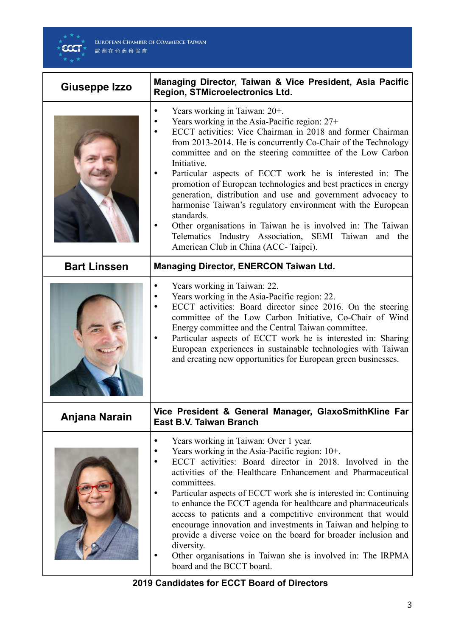

| Giuseppe Izzo       | Managing Director, Taiwan & Vice President, Asia Pacific<br>Region, STMicroelectronics Ltd.                                                                                                                                                                                                                                                                                                                                                                                                                                                                                                                                                                                                                                         |
|---------------------|-------------------------------------------------------------------------------------------------------------------------------------------------------------------------------------------------------------------------------------------------------------------------------------------------------------------------------------------------------------------------------------------------------------------------------------------------------------------------------------------------------------------------------------------------------------------------------------------------------------------------------------------------------------------------------------------------------------------------------------|
|                     | Years working in Taiwan: 20+.<br>Years working in the Asia-Pacific region: 27+<br>ECCT activities: Vice Chairman in 2018 and former Chairman<br>from 2013-2014. He is concurrently Co-Chair of the Technology<br>committee and on the steering committee of the Low Carbon<br>Initiative.<br>Particular aspects of ECCT work he is interested in: The<br>promotion of European technologies and best practices in energy<br>generation, distribution and use and government advocacy to<br>harmonise Taiwan's regulatory environment with the European<br>standards.<br>Other organisations in Taiwan he is involved in: The Taiwan<br>Telematics Industry Association, SEMI Taiwan and the<br>American Club in China (ACC-Taipei). |
| <b>Bart Linssen</b> | <b>Managing Director, ENERCON Taiwan Ltd.</b>                                                                                                                                                                                                                                                                                                                                                                                                                                                                                                                                                                                                                                                                                       |
|                     | Years working in Taiwan: 22.<br>Years working in the Asia-Pacific region: 22.<br>ECCT activities: Board director since 2016. On the steering<br>committee of the Low Carbon Initiative, Co-Chair of Wind<br>Energy committee and the Central Taiwan committee.<br>Particular aspects of ECCT work he is interested in: Sharing<br>European experiences in sustainable technologies with Taiwan<br>and creating new opportunities for European green businesses.                                                                                                                                                                                                                                                                     |
| Anjana Narain       | Vice President & General Manager, GlaxoSmithKline Far<br><b>East B.V. Taiwan Branch</b>                                                                                                                                                                                                                                                                                                                                                                                                                                                                                                                                                                                                                                             |
|                     | Years working in Taiwan: Over 1 year.<br>Years working in the Asia-Pacific region: 10+.<br>ECCT activities: Board director in 2018. Involved in the<br>activities of the Healthcare Enhancement and Pharmaceutical<br>committees.<br>Particular aspects of ECCT work she is interested in: Continuing<br>to enhance the ECCT agenda for healthcare and pharmaceuticals<br>access to patients and a competitive environment that would<br>encourage innovation and investments in Taiwan and helping to<br>provide a diverse voice on the board for broader inclusion and<br>diversity.<br>Other organisations in Taiwan she is involved in: The IRPMA<br>board and the BCCT board.                                                  |

**2019 Candidates for ECCT Board of Directors**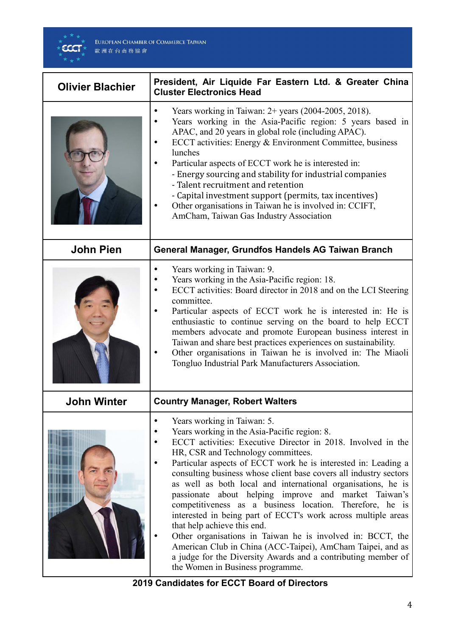

| <b>Olivier Blachier</b> | President, Air Liquide Far Eastern Ltd. & Greater China<br><b>Cluster Electronics Head</b>                                                                                                                                                                                                                                                                                                                                                                                                                                                                                                                                                                                                                                                                                                                                                                 |
|-------------------------|------------------------------------------------------------------------------------------------------------------------------------------------------------------------------------------------------------------------------------------------------------------------------------------------------------------------------------------------------------------------------------------------------------------------------------------------------------------------------------------------------------------------------------------------------------------------------------------------------------------------------------------------------------------------------------------------------------------------------------------------------------------------------------------------------------------------------------------------------------|
|                         | Years working in Taiwan: 2+ years (2004-2005, 2018).<br>Years working in the Asia-Pacific region: 5 years based in<br>APAC, and 20 years in global role (including APAC).<br>ECCT activities: Energy & Environment Committee, business<br>lunches<br>Particular aspects of ECCT work he is interested in:<br>- Energy sourcing and stability for industrial companies<br>- Talent recruitment and retention<br>- Capital investment support (permits, tax incentives)<br>Other organisations in Taiwan he is involved in: CCIFT,<br>AmCham, Taiwan Gas Industry Association                                                                                                                                                                                                                                                                                |
| <b>John Pien</b>        | General Manager, Grundfos Handels AG Taiwan Branch                                                                                                                                                                                                                                                                                                                                                                                                                                                                                                                                                                                                                                                                                                                                                                                                         |
|                         | Years working in Taiwan: 9.<br>Years working in the Asia-Pacific region: 18.<br>ECCT activities: Board director in 2018 and on the LCI Steering<br>committee.<br>Particular aspects of ECCT work he is interested in: He is<br>enthusiastic to continue serving on the board to help ECCT<br>members advocate and promote European business interest in<br>Taiwan and share best practices experiences on sustainability.<br>Other organisations in Taiwan he is involved in: The Miaoli<br>Tongluo Industrial Park Manufacturers Association.                                                                                                                                                                                                                                                                                                             |
| <b>John Winter</b>      | <b>Country Manager, Robert Walters</b>                                                                                                                                                                                                                                                                                                                                                                                                                                                                                                                                                                                                                                                                                                                                                                                                                     |
|                         | Years working in Taiwan: 5.<br>Years working in the Asia-Pacific region: 8.<br>ECCT activities: Executive Director in 2018. Involved in the<br>$\bullet$<br>HR, CSR and Technology committees.<br>Particular aspects of ECCT work he is interested in: Leading a<br>consulting business whose client base covers all industry sectors<br>as well as both local and international organisations, he is<br>passionate about helping improve and market Taiwan's<br>competitiveness as a business location. Therefore, he is<br>interested in being part of ECCT's work across multiple areas<br>that help achieve this end.<br>Other organisations in Taiwan he is involved in: BCCT, the<br>American Club in China (ACC-Taipei), AmCham Taipei, and as<br>a judge for the Diversity Awards and a contributing member of<br>the Women in Business programme. |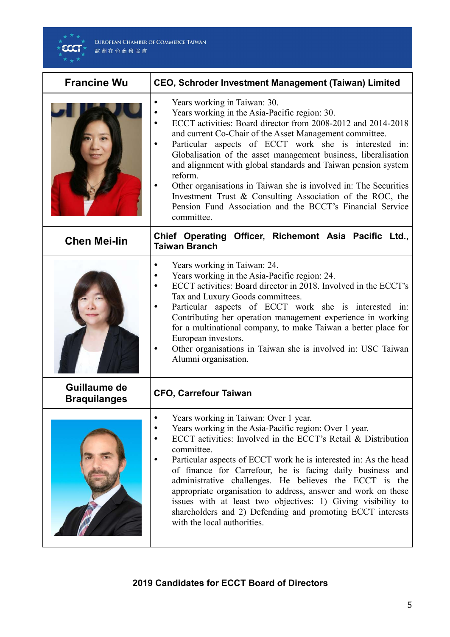

| <b>Francine Wu</b>                  | <b>CEO, Schroder Investment Management (Taiwan) Limited</b>                                                                                                                                                                                                                                                                                                                                                                                                                                                                                                                                                                    |
|-------------------------------------|--------------------------------------------------------------------------------------------------------------------------------------------------------------------------------------------------------------------------------------------------------------------------------------------------------------------------------------------------------------------------------------------------------------------------------------------------------------------------------------------------------------------------------------------------------------------------------------------------------------------------------|
|                                     | Years working in Taiwan: 30.<br>Years working in the Asia-Pacific region: 30.<br>ECCT activities: Board director from 2008-2012 and 2014-2018<br>and current Co-Chair of the Asset Management committee.<br>Particular aspects of ECCT work she is interested in:<br>Globalisation of the asset management business, liberalisation<br>and alignment with global standards and Taiwan pension system<br>reform.<br>Other organisations in Taiwan she is involved in: The Securities<br>Investment Trust $\&$ Consulting Association of the ROC, the<br>Pension Fund Association and the BCCT's Financial Service<br>committee. |
| <b>Chen Mei-lin</b>                 | Chief Operating Officer, Richemont Asia Pacific Ltd.,<br><b>Taiwan Branch</b>                                                                                                                                                                                                                                                                                                                                                                                                                                                                                                                                                  |
|                                     | Years working in Taiwan: 24.<br>$\bullet$<br>Years working in the Asia-Pacific region: 24.<br>$\bullet$<br>ECCT activities: Board director in 2018. Involved in the ECCT's<br>$\bullet$<br>Tax and Luxury Goods committees.<br>Particular aspects of ECCT work she is interested in:<br>$\bullet$<br>Contributing her operation management experience in working<br>for a multinational company, to make Taiwan a better place for<br>European investors.<br>Other organisations in Taiwan she is involved in: USC Taiwan<br>Alumni organisation.                                                                              |
| Guillaume de<br><b>Braquilanges</b> | <b>CFO, Carrefour Taiwan</b>                                                                                                                                                                                                                                                                                                                                                                                                                                                                                                                                                                                                   |
|                                     | Years working in Taiwan: Over 1 year.<br>Years working in the Asia-Pacific region: Over 1 year.<br>ECCT activities: Involved in the ECCT's Retail & Distribution<br>committee.<br>Particular aspects of ECCT work he is interested in: As the head<br>of finance for Carrefour, he is facing daily business and<br>administrative challenges. He believes the ECCT is the<br>appropriate organisation to address, answer and work on these<br>issues with at least two objectives: 1) Giving visibility to<br>shareholders and 2) Defending and promoting ECCT interests<br>with the local authorities.                        |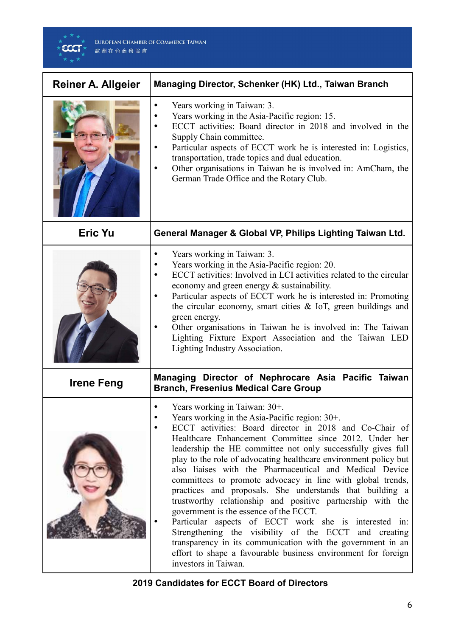

| <b>Reiner A. Allgeier</b> | Managing Director, Schenker (HK) Ltd., Taiwan Branch                                                                                                                                                                                                                                                                                                                                                                                                                                                                                                                                                                                                                                                                                                                                                                                                                                                            |
|---------------------------|-----------------------------------------------------------------------------------------------------------------------------------------------------------------------------------------------------------------------------------------------------------------------------------------------------------------------------------------------------------------------------------------------------------------------------------------------------------------------------------------------------------------------------------------------------------------------------------------------------------------------------------------------------------------------------------------------------------------------------------------------------------------------------------------------------------------------------------------------------------------------------------------------------------------|
|                           | Years working in Taiwan: 3.<br>$\bullet$<br>Years working in the Asia-Pacific region: 15.<br>ECCT activities: Board director in 2018 and involved in the<br>Supply Chain committee.<br>Particular aspects of ECCT work he is interested in: Logistics,<br>transportation, trade topics and dual education.<br>Other organisations in Taiwan he is involved in: AmCham, the<br>German Trade Office and the Rotary Club.                                                                                                                                                                                                                                                                                                                                                                                                                                                                                          |
| <b>Eric Yu</b>            | General Manager & Global VP, Philips Lighting Taiwan Ltd.                                                                                                                                                                                                                                                                                                                                                                                                                                                                                                                                                                                                                                                                                                                                                                                                                                                       |
|                           | Years working in Taiwan: 3.<br>$\bullet$<br>Years working in the Asia-Pacific region: 20.<br>ECCT activities: Involved in LCI activities related to the circular<br>$\bullet$<br>economy and green energy & sustainability.<br>Particular aspects of ECCT work he is interested in: Promoting<br>$\bullet$<br>the circular economy, smart cities $\&$ IoT, green buildings and<br>green energy.<br>Other organisations in Taiwan he is involved in: The Taiwan<br>Lighting Fixture Export Association and the Taiwan LED<br>Lighting Industry Association.                                                                                                                                                                                                                                                                                                                                                      |
| <b>Irene Feng</b>         | Managing Director of Nephrocare Asia Pacific Taiwan<br><b>Branch, Fresenius Medical Care Group</b>                                                                                                                                                                                                                                                                                                                                                                                                                                                                                                                                                                                                                                                                                                                                                                                                              |
|                           | Years working in Taiwan: 30+.<br>Years working in the Asia-Pacific region: 30+.<br>ECCT activities: Board director in 2018 and Co-Chair of<br>Healthcare Enhancement Committee since 2012. Under her<br>leadership the HE committee not only successfully gives full<br>play to the role of advocating healthcare environment policy but<br>also liaises with the Pharmaceutical and Medical Device<br>committees to promote advocacy in line with global trends,<br>practices and proposals. She understands that building a<br>trustworthy relationship and positive partnership with the<br>government is the essence of the ECCT.<br>Particular aspects of ECCT work she is interested in:<br>Strengthening the visibility of the ECCT and creating<br>transparency in its communication with the government in an<br>effort to shape a favourable business environment for foreign<br>investors in Taiwan. |

## **2019 Candidates for ECCT Board of Directors**